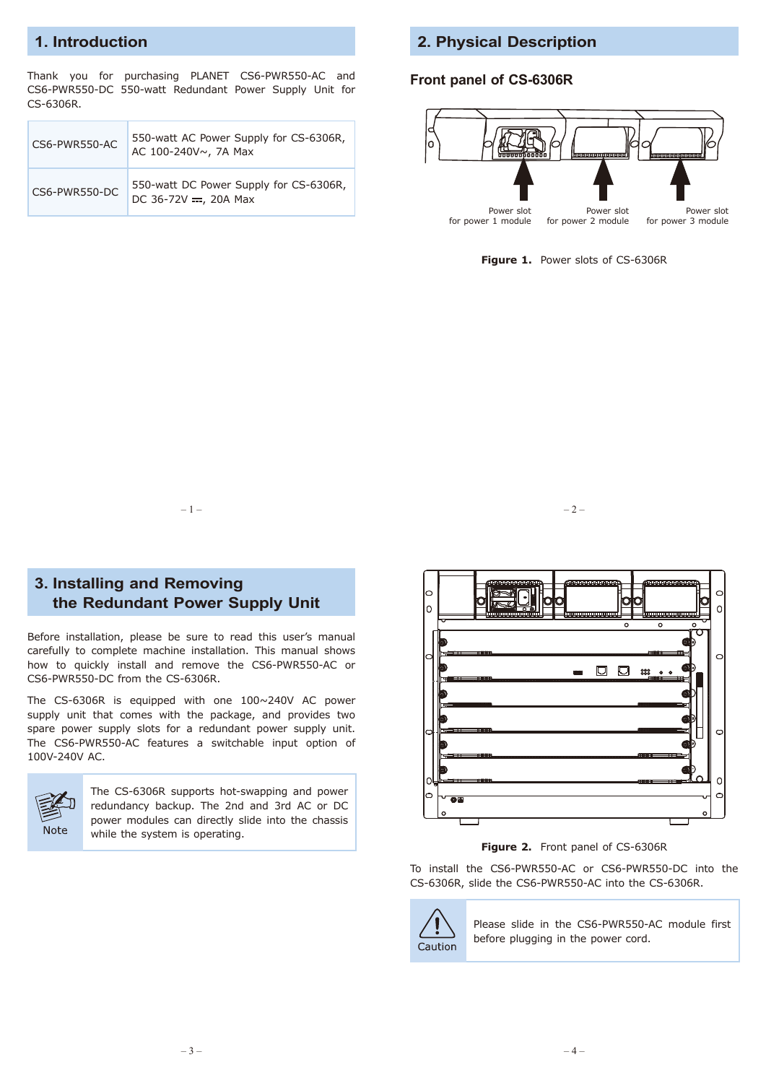## **1. Introduction**

Thank you for purchasing PLANET CS6-PWR550-AC and CS6-PWR550-DC 550-watt Redundant Power Supply Unit for CS-6306R.

|  | CS6-PWR550-AC | 550-watt AC Power Supply for CS-6306R,<br>AC 100-240V~, 7A Max    |
|--|---------------|-------------------------------------------------------------------|
|  | CS6-PWR550-DC | 550-watt DC Power Supply for CS-6306R,<br>DC 36-72V = $, 20A$ Max |

#### **2. Physical Description**

#### **Front panel of CS-6306R**



Figure 1. Power slots of CS-6306R



### **3. Installing and Removing the Redundant Power Supply Unit**

Before installation, please be sure to read this user's manual carefully to complete machine installation. This manual shows how to quickly install and remove the CS6-PWR550-AC or CS6-PWR550-DC from the CS-6306R.

The CS-6306R is equipped with one 100~240V AC power supply unit that comes with the package, and provides two spare power supply slots for a redundant power supply unit. The CS6-PWR550-AC features a switchable input option of 100V-240V AC.



The CS-6306R supports hot-swapping and power redundancy backup. The 2nd and 3rd AC or DC power modules can directly slide into the chassis while the system is operating.



**Figure 2.** Front panel of CS-6306R

To install the CS6-PWR550-AC or CS6-PWR550-DC into the CS-6306R, slide the CS6-PWR550-AC into the CS-6306R.



Please slide in the CS6-PWR550-AC module first before plugging in the power cord.